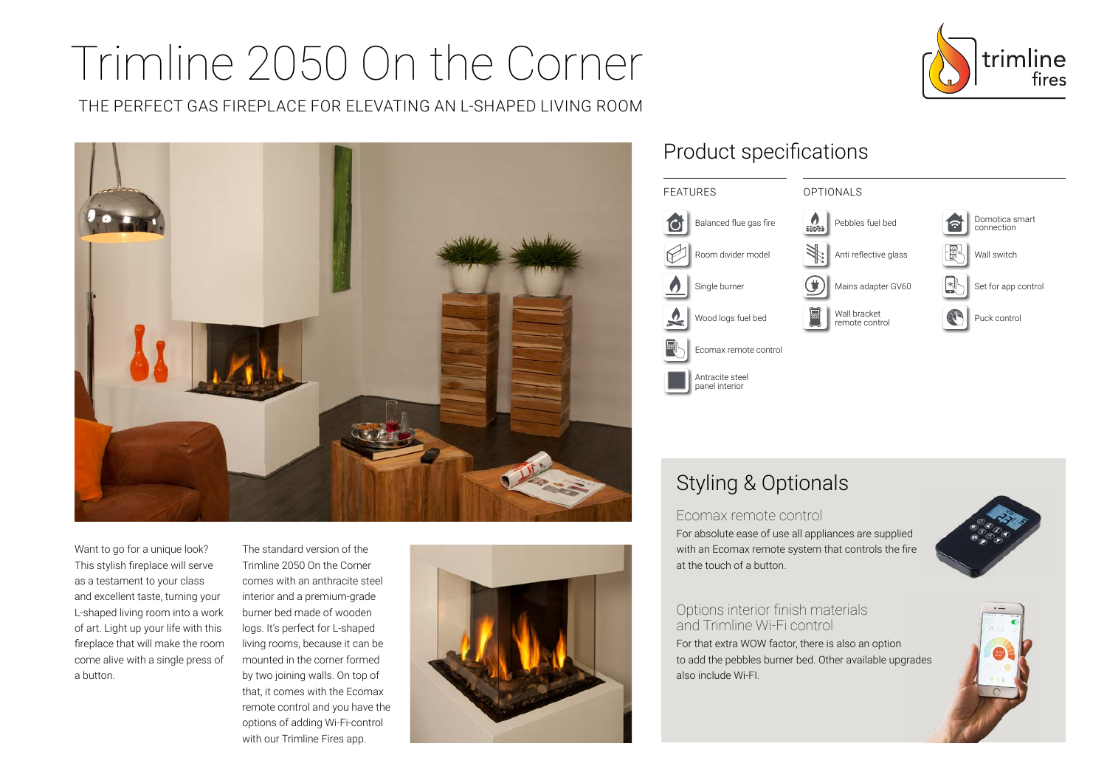# Trimline 2050 On the Corner

THE PERFECT GAS FIREPLACE FOR ELEVATING AN L-SHAPED LIVING ROOM



Want to go for a unique look? This stylish fireplace will serve as a testament to your class and excellent taste, turning your L-shaped living room into a work of art. Light up your life with this fireplace that will make the room come alive with a single press of a button.

The standard version of the Trimline 2050 On the Corner comes with an anthracite steel interior and a premium-grade burner bed made of wooden logs. It's perfect for L-shaped living rooms, because it can be mounted in the corner formed by two joining walls. On top of that, it comes with the Ecomax remote control and you have the options of adding Wi-Fi-control with our Trimline Fires app.



## Product specifications



## Styling & Optionals

Ecomax remote control

For absolute ease of use all appliances are supplied with an Ecomax remote system that controls the fire at the touch of a button.



Options interior finish materials and Trimline Wi-Fi control For that extra WOW factor, there is also an option to add the pebbles burner bed. Other available upgrades also include Wi-FI.